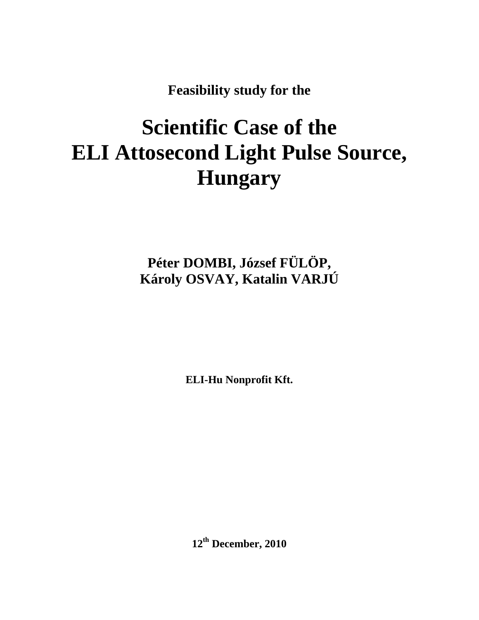**Feasibility study for the** 

# **Scientific Case of the ELI Attosecond Light Pulse Source, Hungary**

**Péter DOMBI, József FÜLÖP, Károly OSVAY, Katalin VARJÚ** 

**ELI-Hu Nonprofit Kft.** 

**12th December, 2010**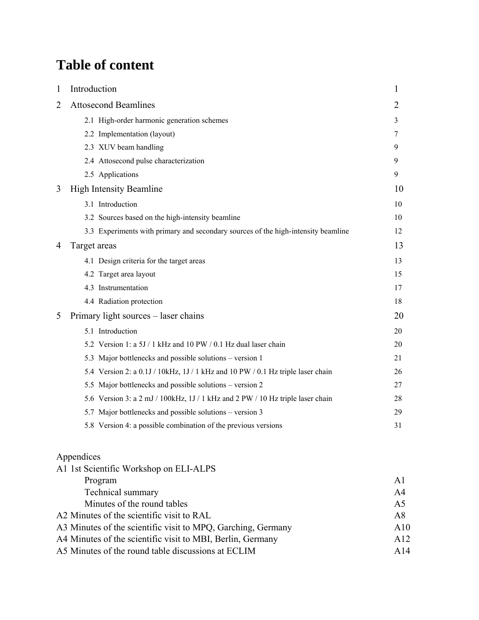## **Table of content**

| 1              | Introduction                                                                      | 1  |
|----------------|-----------------------------------------------------------------------------------|----|
| $\overline{2}$ | <b>Attosecond Beamlines</b>                                                       | 2  |
|                | 2.1 High-order harmonic generation schemes                                        | 3  |
|                | 2.2 Implementation (layout)                                                       | 7  |
|                | 2.3 XUV beam handling                                                             | 9  |
|                | 2.4 Attosecond pulse characterization                                             | 9  |
|                | 2.5 Applications                                                                  | 9  |
| 3              | <b>High Intensity Beamline</b>                                                    | 10 |
|                | 3.1 Introduction                                                                  | 10 |
|                | 3.2 Sources based on the high-intensity beamline                                  | 10 |
|                | 3.3 Experiments with primary and secondary sources of the high-intensity beamline | 12 |
| 4              | Target areas                                                                      | 13 |
|                | 4.1 Design criteria for the target areas                                          | 13 |
|                | 4.2 Target area layout                                                            | 15 |
|                | 4.3 Instrumentation                                                               | 17 |
|                | 4.4 Radiation protection                                                          | 18 |
| 5              | Primary light sources – laser chains                                              | 20 |
|                | 5.1 Introduction                                                                  | 20 |
|                | 5.2 Version 1: a 5J / 1 kHz and 10 PW / 0.1 Hz dual laser chain                   | 20 |
|                | 5.3 Major bottlenecks and possible solutions – version 1                          | 21 |
|                | 5.4 Version 2: a 0.1J / 10kHz, 1J / 1 kHz and 10 PW / 0.1 Hz triple laser chain   | 26 |
|                | 5.5 Major bottlenecks and possible solutions – version 2                          | 27 |
|                | 5.6 Version 3: a 2 mJ / 100kHz, 1J / 1 kHz and 2 PW / 10 Hz triple laser chain    | 28 |
|                | 5.7 Major bottlenecks and possible solutions – version 3                          | 29 |
|                | 5.8 Version 4: a possible combination of the previous versions                    | 31 |
|                |                                                                                   |    |

#### Appendices

| A1             |
|----------------|
| A <sub>4</sub> |
| A <sub>5</sub> |
| A8             |
| A10            |
| A12            |
| A14            |
|                |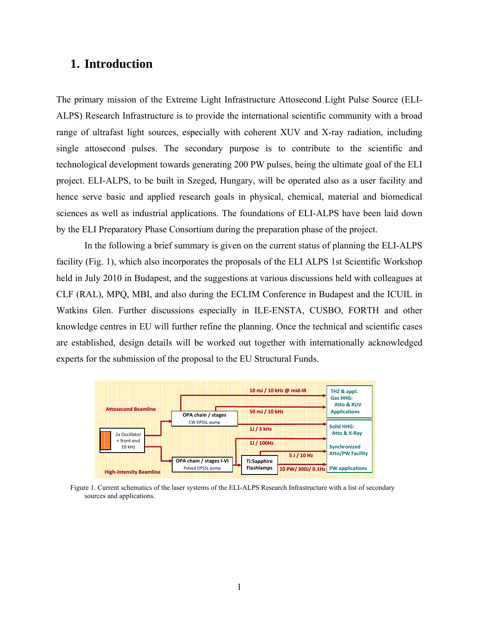## **1. Introduction**

The primary mission of the Extreme Light Infrastructure Attosecond Light Pulse Source (ELI-ALPS) Research Infrastructure is to provide the international scientific community with a broad range of ultrafast light sources, especially with coherent XUV and X-ray radiation, including single attosecond pulses. The secondary purpose is to contribute to the scientific and technological development towards generating 200 PW pulses, being the ultimate goal of the ELI project. ELI-ALPS, to be built in Szeged, Hungary, will be operated also as a user facility and hence serve basic and applied research goals in physical, chemical, material and biomedical sciences as well as industrial applications. The foundations of ELI-ALPS have been laid down by the ELI Preparatory Phase Consortium during the preparation phase of the project.

In the following a brief summary is given on the current status of planning the ELI-ALPS facility (Fig. 1), which also incorporates the proposals of the ELI ALPS 1st Scientific Workshop held in July 2010 in Budapest, and the suggestions at various discussions held with colleagues at CLF (RAL), MPQ, MBI, and also during the ECLIM Conference in Budapest and the ICUIL in Watkins Glen. Further discussions especially in ILE-ENSTA, CUSBO, FORTH and other knowledge centres in EU will further refine the planning. Once the technical and scientific cases are established, design details will be worked out together with internationally acknowledged experts for the submission of the proposal to the EU Structural Funds.



Figure 1. Current schematics of the laser systems of the ELI-ALPS Research Infrastructure with a list of secondary sources and applications.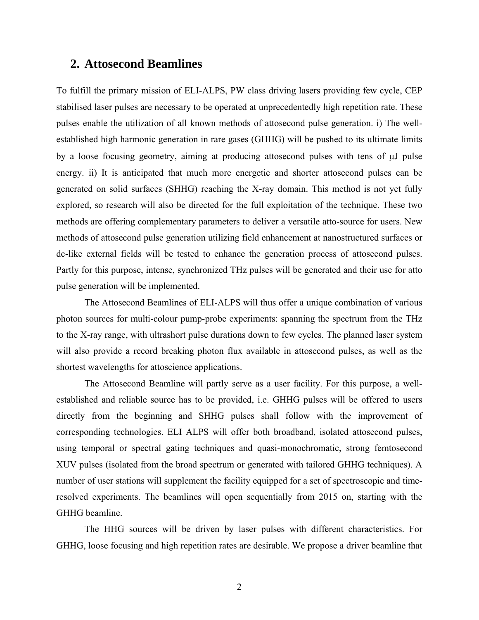## **2. Attosecond Beamlines**

To fulfill the primary mission of ELI-ALPS, PW class driving lasers providing few cycle, CEP stabilised laser pulses are necessary to be operated at unprecedentedly high repetition rate. These pulses enable the utilization of all known methods of attosecond pulse generation. i) The wellestablished high harmonic generation in rare gases (GHHG) will be pushed to its ultimate limits by a loose focusing geometry, aiming at producing attosecond pulses with tens of µJ pulse energy. ii) It is anticipated that much more energetic and shorter attosecond pulses can be generated on solid surfaces (SHHG) reaching the X-ray domain. This method is not yet fully explored, so research will also be directed for the full exploitation of the technique. These two methods are offering complementary parameters to deliver a versatile atto-source for users. New methods of attosecond pulse generation utilizing field enhancement at nanostructured surfaces or dc-like external fields will be tested to enhance the generation process of attosecond pulses. Partly for this purpose, intense, synchronized THz pulses will be generated and their use for atto pulse generation will be implemented.

The Attosecond Beamlines of ELI-ALPS will thus offer a unique combination of various photon sources for multi-colour pump-probe experiments: spanning the spectrum from the THz to the X-ray range, with ultrashort pulse durations down to few cycles. The planned laser system will also provide a record breaking photon flux available in attosecond pulses, as well as the shortest wavelengths for attoscience applications.

The Attosecond Beamline will partly serve as a user facility. For this purpose, a wellestablished and reliable source has to be provided, i.e. GHHG pulses will be offered to users directly from the beginning and SHHG pulses shall follow with the improvement of corresponding technologies. ELI ALPS will offer both broadband, isolated attosecond pulses, using temporal or spectral gating techniques and quasi-monochromatic, strong femtosecond XUV pulses (isolated from the broad spectrum or generated with tailored GHHG techniques). A number of user stations will supplement the facility equipped for a set of spectroscopic and timeresolved experiments. The beamlines will open sequentially from 2015 on, starting with the GHHG beamline.

The HHG sources will be driven by laser pulses with different characteristics. For GHHG, loose focusing and high repetition rates are desirable. We propose a driver beamline that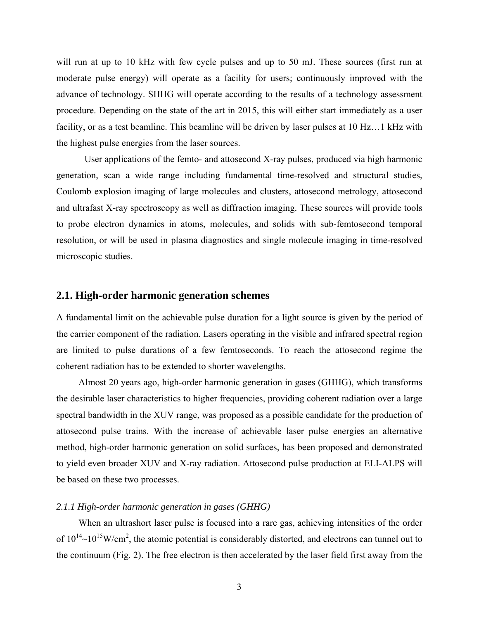will run at up to 10 kHz with few cycle pulses and up to 50 mJ. These sources (first run at moderate pulse energy) will operate as a facility for users; continuously improved with the advance of technology. SHHG will operate according to the results of a technology assessment procedure. Depending on the state of the art in 2015, this will either start immediately as a user facility, or as a test beamline. This beamline will be driven by laser pulses at 10 Hz…1 kHz with the highest pulse energies from the laser sources.

User applications of the femto- and attosecond X-ray pulses, produced via high harmonic generation, scan a wide range including fundamental time-resolved and structural studies, Coulomb explosion imaging of large molecules and clusters, attosecond metrology, attosecond and ultrafast X-ray spectroscopy as well as diffraction imaging. These sources will provide tools to probe electron dynamics in atoms, molecules, and solids with sub-femtosecond temporal resolution, or will be used in plasma diagnostics and single molecule imaging in time-resolved microscopic studies.

#### **2.1. High-order harmonic generation schemes**

A fundamental limit on the achievable pulse duration for a light source is given by the period of the carrier component of the radiation. Lasers operating in the visible and infrared spectral region are limited to pulse durations of a few femtoseconds. To reach the attosecond regime the coherent radiation has to be extended to shorter wavelengths.

Almost 20 years ago, high-order harmonic generation in gases (GHHG), which transforms the desirable laser characteristics to higher frequencies, providing coherent radiation over a large spectral bandwidth in the XUV range, was proposed as a possible candidate for the production of attosecond pulse trains. With the increase of achievable laser pulse energies an alternative method, high-order harmonic generation on solid surfaces, has been proposed and demonstrated to yield even broader XUV and X-ray radiation. Attosecond pulse production at ELI-ALPS will be based on these two processes.

#### *2.1.1 High-order harmonic generation in gases (GHHG)*

When an ultrashort laser pulse is focused into a rare gas, achieving intensities of the order of  $10^{14}$ ~ $10^{15}$ W/cm<sup>2</sup>, the atomic potential is considerably distorted, and electrons can tunnel out to the continuum (Fig. 2). The free electron is then accelerated by the laser field first away from the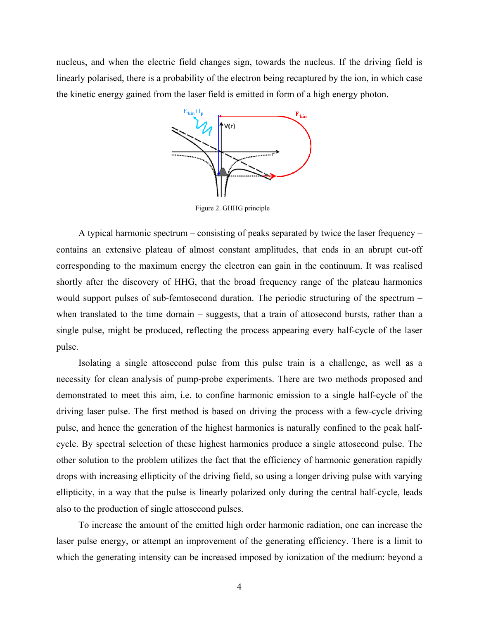nucleus, and when the electric field changes sign, towards the nucleus. If the driving field is linearly polarised, there is a probability of the electron being recaptured by the ion, in which case the kinetic energy gained from the laser field is emitted in form of a high energy photon.



Figure 2. GHHG principle

A typical harmonic spectrum – consisting of peaks separated by twice the laser frequency – contains an extensive plateau of almost constant amplitudes, that ends in an abrupt cut-off corresponding to the maximum energy the electron can gain in the continuum. It was realised shortly after the discovery of HHG, that the broad frequency range of the plateau harmonics would support pulses of sub-femtosecond duration. The periodic structuring of the spectrum – when translated to the time domain – suggests, that a train of attosecond bursts, rather than a single pulse, might be produced, reflecting the process appearing every half-cycle of the laser pulse.

Isolating a single attosecond pulse from this pulse train is a challenge, as well as a necessity for clean analysis of pump-probe experiments. There are two methods proposed and demonstrated to meet this aim, i.e. to confine harmonic emission to a single half-cycle of the driving laser pulse. The first method is based on driving the process with a few-cycle driving pulse, and hence the generation of the highest harmonics is naturally confined to the peak halfcycle. By spectral selection of these highest harmonics produce a single attosecond pulse. The other solution to the problem utilizes the fact that the efficiency of harmonic generation rapidly drops with increasing ellipticity of the driving field, so using a longer driving pulse with varying ellipticity, in a way that the pulse is linearly polarized only during the central half-cycle, leads also to the production of single attosecond pulses.

To increase the amount of the emitted high order harmonic radiation, one can increase the laser pulse energy, or attempt an improvement of the generating efficiency. There is a limit to which the generating intensity can be increased imposed by ionization of the medium: beyond a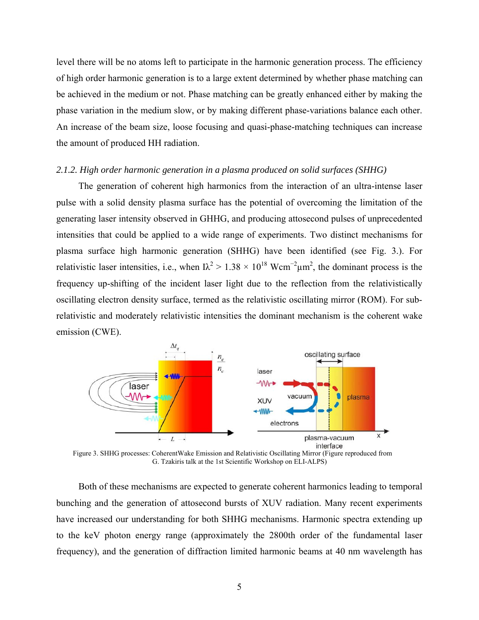level there will be no atoms left to participate in the harmonic generation process. The efficiency of high order harmonic generation is to a large extent determined by whether phase matching can be achieved in the medium or not. Phase matching can be greatly enhanced either by making the phase variation in the medium slow, or by making different phase-variations balance each other. An increase of the beam size, loose focusing and quasi-phase-matching techniques can increase the amount of produced HH radiation.

#### *2.1.2. High order harmonic generation in a plasma produced on solid surfaces (SHHG)*

The generation of coherent high harmonics from the interaction of an ultra-intense laser pulse with a solid density plasma surface has the potential of overcoming the limitation of the generating laser intensity observed in GHHG, and producing attosecond pulses of unprecedented intensities that could be applied to a wide range of experiments. Two distinct mechanisms for plasma surface high harmonic generation (SHHG) have been identified (see Fig. 3.). For relativistic laser intensities, i.e., when  $I\lambda^2 > 1.38 \times 10^{18}$  Wcm<sup>-2</sup> $\mu$ m<sup>2</sup>, the dominant process is the frequency up-shifting of the incident laser light due to the reflection from the relativistically oscillating electron density surface, termed as the relativistic oscillating mirror (ROM). For subrelativistic and moderately relativistic intensities the dominant mechanism is the coherent wake emission (CWE).



Figure 3. SHHG processes: CoherentWake Emission and Relativistic Oscillating Mirror (Figure reproduced from G. Tzakiris talk at the 1st Scientific Workshop on ELI-ALPS)

Both of these mechanisms are expected to generate coherent harmonics leading to temporal bunching and the generation of attosecond bursts of XUV radiation. Many recent experiments have increased our understanding for both SHHG mechanisms. Harmonic spectra extending up to the keV photon energy range (approximately the 2800th order of the fundamental laser frequency), and the generation of diffraction limited harmonic beams at 40 nm wavelength has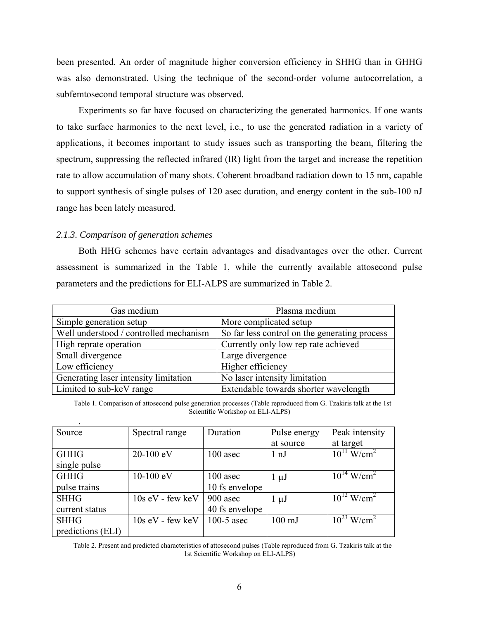been presented. An order of magnitude higher conversion efficiency in SHHG than in GHHG was also demonstrated. Using the technique of the second-order volume autocorrelation, a subfemtosecond temporal structure was observed.

Experiments so far have focused on characterizing the generated harmonics. If one wants to take surface harmonics to the next level, i.e., to use the generated radiation in a variety of applications, it becomes important to study issues such as transporting the beam, filtering the spectrum, suppressing the reflected infrared (IR) light from the target and increase the repetition rate to allow accumulation of many shots. Coherent broadband radiation down to 15 nm, capable to support synthesis of single pulses of 120 asec duration, and energy content in the sub-100 nJ range has been lately measured.

#### *2.1.3. Comparison of generation schemes*

Both HHG schemes have certain advantages and disadvantages over the other. Current assessment is summarized in the Table 1, while the currently available attosecond pulse parameters and the predictions for ELI-ALPS are summarized in Table 2.

| Gas medium                             | Plasma medium                                 |  |  |
|----------------------------------------|-----------------------------------------------|--|--|
| Simple generation setup                | More complicated setup                        |  |  |
| Well understood / controlled mechanism | So far less control on the generating process |  |  |
| High reprate operation                 | Currently only low rep rate achieved          |  |  |
| Small divergence                       | Large divergence                              |  |  |
| Low efficiency                         | Higher efficiency                             |  |  |
| Generating laser intensity limitation  | No laser intensity limitation                 |  |  |
| Limited to sub-keV range               | Extendable towards shorter wavelength         |  |  |

Table 1. Comparison of attosecond pulse generation processes (Table reproduced from G. Tzakiris talk at the 1st Scientific Workshop on ELI-ALPS)

| Source            | Spectral range     | Duration       | Pulse energy     | Peak intensity              |
|-------------------|--------------------|----------------|------------------|-----------------------------|
|                   |                    |                | at source        | at target                   |
| <b>GHHG</b>       | 20-100 eV          | 100 asec       | $1 \nPi$         | $10^{11}$ W/cm <sup>2</sup> |
| single pulse      |                    |                |                  |                             |
| <b>GHHG</b>       | $10-100$ eV        | $100$ asec     | $1 \mu J$        | $10^{14}$ W/cm <sup>2</sup> |
| pulse trains      |                    | 10 fs envelope |                  |                             |
| <b>SHHG</b>       | $10s$ eV - few keV | 900 asec       | $1 \mu J$        | $10^{12}$ W/cm <sup>2</sup> |
| current status    |                    | 40 fs envelope |                  |                             |
| <b>SHHG</b>       | $10s$ eV - few keV | 100-5 asec     | $100 \text{ mJ}$ | $10^{23}$ W/cm <sup>2</sup> |
| predictions (ELI) |                    |                |                  |                             |

Table 2. Present and predicted characteristics of attosecond pulses (Table reproduced from G. Tzakiris talk at the 1st Scientific Workshop on ELI-ALPS)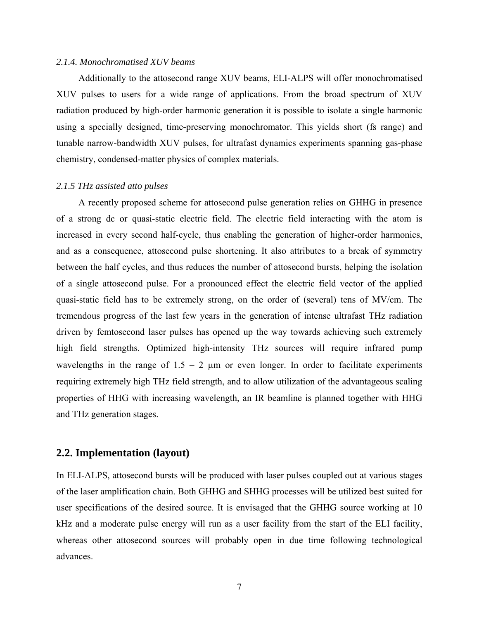#### *2.1.4. Monochromatised XUV beams*

Additionally to the attosecond range XUV beams, ELI-ALPS will offer monochromatised XUV pulses to users for a wide range of applications. From the broad spectrum of XUV radiation produced by high-order harmonic generation it is possible to isolate a single harmonic using a specially designed, time-preserving monochromator. This yields short (fs range) and tunable narrow-bandwidth XUV pulses, for ultrafast dynamics experiments spanning gas-phase chemistry, condensed-matter physics of complex materials.

#### *2.1.5 THz assisted atto pulses*

A recently proposed scheme for attosecond pulse generation relies on GHHG in presence of a strong dc or quasi-static electric field. The electric field interacting with the atom is increased in every second half-cycle, thus enabling the generation of higher-order harmonics, and as a consequence, attosecond pulse shortening. It also attributes to a break of symmetry between the half cycles, and thus reduces the number of attosecond bursts, helping the isolation of a single attosecond pulse. For a pronounced effect the electric field vector of the applied quasi-static field has to be extremely strong, on the order of (several) tens of MV/cm. The tremendous progress of the last few years in the generation of intense ultrafast THz radiation driven by femtosecond laser pulses has opened up the way towards achieving such extremely high field strengths. Optimized high-intensity THz sources will require infrared pump wavelengths in the range of  $1.5 - 2 \mu m$  or even longer. In order to facilitate experiments requiring extremely high THz field strength, and to allow utilization of the advantageous scaling properties of HHG with increasing wavelength, an IR beamline is planned together with HHG and THz generation stages.

## **2.2. Implementation (layout)**

In ELI-ALPS, attosecond bursts will be produced with laser pulses coupled out at various stages of the laser amplification chain. Both GHHG and SHHG processes will be utilized best suited for user specifications of the desired source. It is envisaged that the GHHG source working at 10 kHz and a moderate pulse energy will run as a user facility from the start of the ELI facility, whereas other attosecond sources will probably open in due time following technological advances.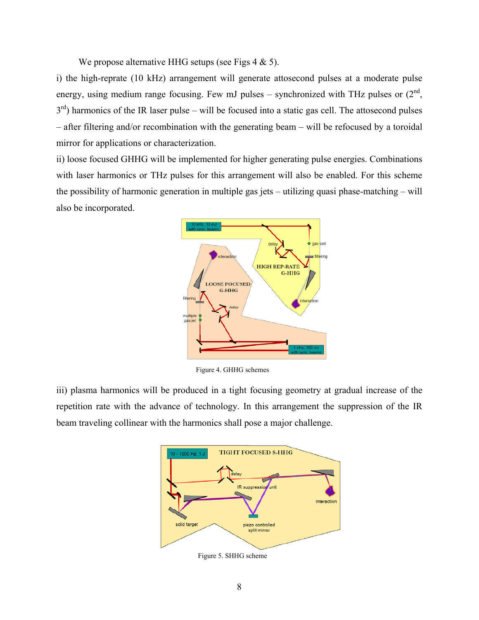We propose alternative HHG setups (see Figs  $4 \& 5$ ).

i) the high-reprate (10 kHz) arrangement will generate attosecond pulses at a moderate pulse energy, using medium range focusing. Few mJ pulses – synchronized with THz pulses or  $(2<sup>nd</sup>,$  $3<sup>rd</sup>$ ) harmonics of the IR laser pulse – will be focused into a static gas cell. The attosecond pulses – after filtering and/or recombination with the generating beam – will be refocused by a toroidal mirror for applications or characterization.

ii) loose focused GHHG will be implemented for higher generating pulse energies. Combinations with laser harmonics or THz pulses for this arrangement will also be enabled. For this scheme the possibility of harmonic generation in multiple gas jets – utilizing quasi phase-matching – will also be incorporated.



Figure 4. GHHG schemes

iii) plasma harmonics will be produced in a tight focusing geometry at gradual increase of the repetition rate with the advance of technology. In this arrangement the suppression of the IR beam traveling collinear with the harmonics shall pose a major challenge.



Figure 5. SHHG scheme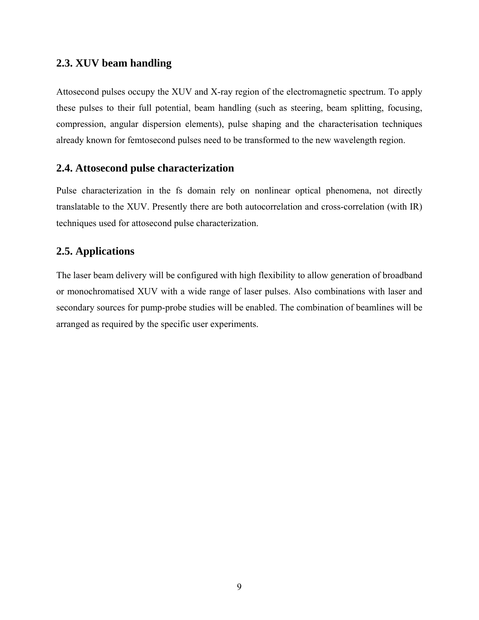## **2.3. XUV beam handling**

Attosecond pulses occupy the XUV and X-ray region of the electromagnetic spectrum. To apply these pulses to their full potential, beam handling (such as steering, beam splitting, focusing, compression, angular dispersion elements), pulse shaping and the characterisation techniques already known for femtosecond pulses need to be transformed to the new wavelength region.

## **2.4. Attosecond pulse characterization**

Pulse characterization in the fs domain rely on nonlinear optical phenomena, not directly translatable to the XUV. Presently there are both autocorrelation and cross-correlation (with IR) techniques used for attosecond pulse characterization.

## **2.5. Applications**

The laser beam delivery will be configured with high flexibility to allow generation of broadband or monochromatised XUV with a wide range of laser pulses. Also combinations with laser and secondary sources for pump-probe studies will be enabled. The combination of beamlines will be arranged as required by the specific user experiments.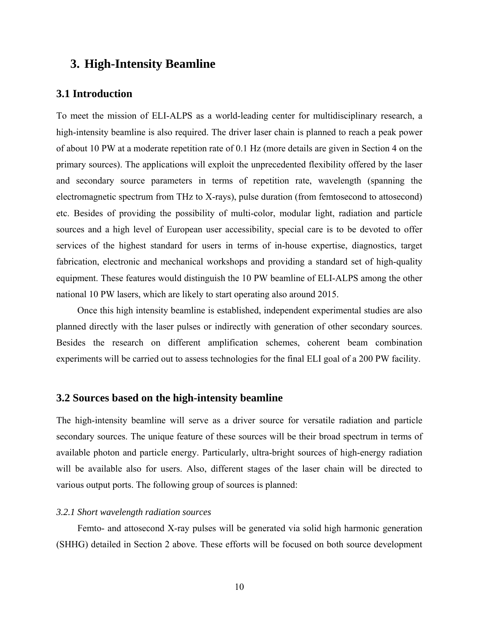## **3. High-Intensity Beamline**

#### **3.1 Introduction**

To meet the mission of ELI-ALPS as a world-leading center for multidisciplinary research, a high-intensity beamline is also required. The driver laser chain is planned to reach a peak power of about 10 PW at a moderate repetition rate of 0.1 Hz (more details are given in Section 4 on the primary sources). The applications will exploit the unprecedented flexibility offered by the laser and secondary source parameters in terms of repetition rate, wavelength (spanning the electromagnetic spectrum from THz to X-rays), pulse duration (from femtosecond to attosecond) etc. Besides of providing the possibility of multi-color, modular light, radiation and particle sources and a high level of European user accessibility, special care is to be devoted to offer services of the highest standard for users in terms of in-house expertise, diagnostics, target fabrication, electronic and mechanical workshops and providing a standard set of high-quality equipment. These features would distinguish the 10 PW beamline of ELI-ALPS among the other national 10 PW lasers, which are likely to start operating also around 2015.

Once this high intensity beamline is established, independent experimental studies are also planned directly with the laser pulses or indirectly with generation of other secondary sources. Besides the research on different amplification schemes, coherent beam combination experiments will be carried out to assess technologies for the final ELI goal of a 200 PW facility.

#### **3.2 Sources based on the high-intensity beamline**

The high-intensity beamline will serve as a driver source for versatile radiation and particle secondary sources. The unique feature of these sources will be their broad spectrum in terms of available photon and particle energy. Particularly, ultra-bright sources of high-energy radiation will be available also for users. Also, different stages of the laser chain will be directed to various output ports. The following group of sources is planned:

#### *3.2.1 Short wavelength radiation sources*

Femto- and attosecond X-ray pulses will be generated via solid high harmonic generation (SHHG) detailed in Section 2 above. These efforts will be focused on both source development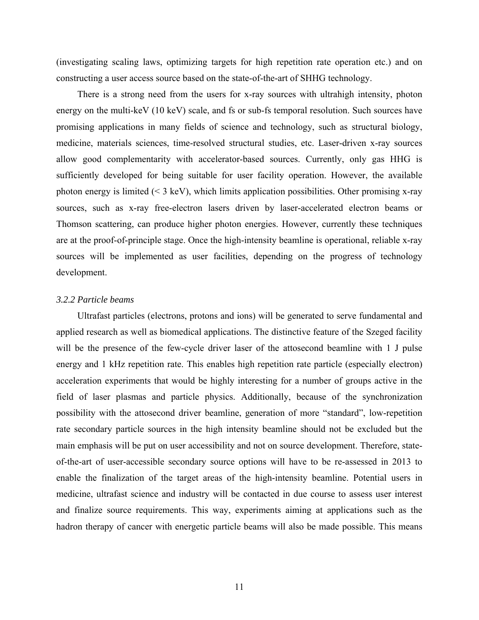(investigating scaling laws, optimizing targets for high repetition rate operation etc.) and on constructing a user access source based on the state-of-the-art of SHHG technology.

There is a strong need from the users for x-ray sources with ultrahigh intensity, photon energy on the multi-keV (10 keV) scale, and fs or sub-fs temporal resolution. Such sources have promising applications in many fields of science and technology, such as structural biology, medicine, materials sciences, time-resolved structural studies, etc. Laser-driven x-ray sources allow good complementarity with accelerator-based sources. Currently, only gas HHG is sufficiently developed for being suitable for user facility operation. However, the available photon energy is limited  $($   $\leq$  3 keV), which limits application possibilities. Other promising x-ray sources, such as x-ray free-electron lasers driven by laser-accelerated electron beams or Thomson scattering, can produce higher photon energies. However, currently these techniques are at the proof-of-principle stage. Once the high-intensity beamline is operational, reliable x-ray sources will be implemented as user facilities, depending on the progress of technology development.

#### *3.2.2 Particle beams*

Ultrafast particles (electrons, protons and ions) will be generated to serve fundamental and applied research as well as biomedical applications. The distinctive feature of the Szeged facility will be the presence of the few-cycle driver laser of the attosecond beamline with 1 J pulse energy and 1 kHz repetition rate. This enables high repetition rate particle (especially electron) acceleration experiments that would be highly interesting for a number of groups active in the field of laser plasmas and particle physics. Additionally, because of the synchronization possibility with the attosecond driver beamline, generation of more "standard", low-repetition rate secondary particle sources in the high intensity beamline should not be excluded but the main emphasis will be put on user accessibility and not on source development. Therefore, stateof-the-art of user-accessible secondary source options will have to be re-assessed in 2013 to enable the finalization of the target areas of the high-intensity beamline. Potential users in medicine, ultrafast science and industry will be contacted in due course to assess user interest and finalize source requirements. This way, experiments aiming at applications such as the hadron therapy of cancer with energetic particle beams will also be made possible. This means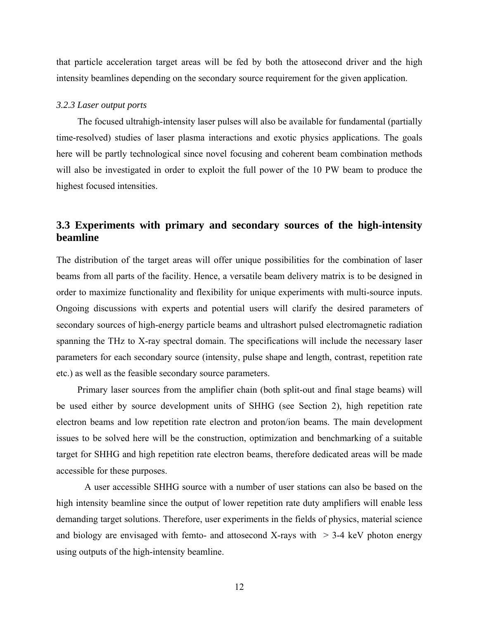that particle acceleration target areas will be fed by both the attosecond driver and the high intensity beamlines depending on the secondary source requirement for the given application.

#### *3.2.3 Laser output ports*

The focused ultrahigh-intensity laser pulses will also be available for fundamental (partially time-resolved) studies of laser plasma interactions and exotic physics applications. The goals here will be partly technological since novel focusing and coherent beam combination methods will also be investigated in order to exploit the full power of the 10 PW beam to produce the highest focused intensities.

## **3.3 Experiments with primary and secondary sources of the high-intensity beamline**

The distribution of the target areas will offer unique possibilities for the combination of laser beams from all parts of the facility. Hence, a versatile beam delivery matrix is to be designed in order to maximize functionality and flexibility for unique experiments with multi-source inputs. Ongoing discussions with experts and potential users will clarify the desired parameters of secondary sources of high-energy particle beams and ultrashort pulsed electromagnetic radiation spanning the THz to X-ray spectral domain. The specifications will include the necessary laser parameters for each secondary source (intensity, pulse shape and length, contrast, repetition rate etc.) as well as the feasible secondary source parameters.

Primary laser sources from the amplifier chain (both split-out and final stage beams) will be used either by source development units of SHHG (see Section 2), high repetition rate electron beams and low repetition rate electron and proton/ion beams. The main development issues to be solved here will be the construction, optimization and benchmarking of a suitable target for SHHG and high repetition rate electron beams, therefore dedicated areas will be made accessible for these purposes.

A user accessible SHHG source with a number of user stations can also be based on the high intensity beamline since the output of lower repetition rate duty amplifiers will enable less demanding target solutions. Therefore, user experiments in the fields of physics, material science and biology are envisaged with femto- and attosecond X-rays with  $> 3-4$  keV photon energy using outputs of the high-intensity beamline.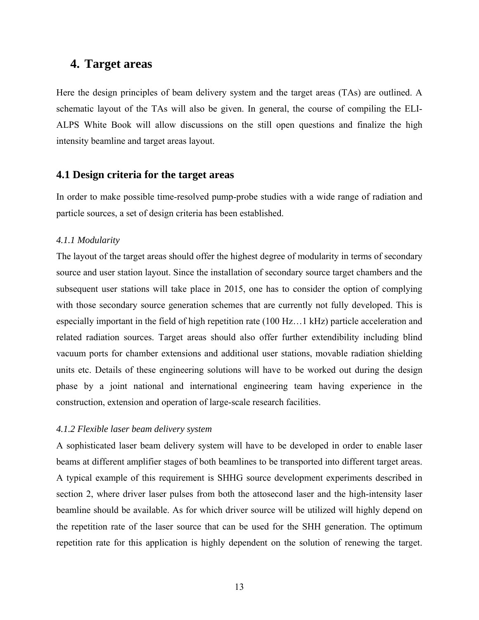## **4. Target areas**

Here the design principles of beam delivery system and the target areas (TAs) are outlined. A schematic layout of the TAs will also be given. In general, the course of compiling the ELI-ALPS White Book will allow discussions on the still open questions and finalize the high intensity beamline and target areas layout.

#### **4.1 Design criteria for the target areas**

In order to make possible time-resolved pump-probe studies with a wide range of radiation and particle sources, a set of design criteria has been established.

#### *4.1.1 Modularity*

The layout of the target areas should offer the highest degree of modularity in terms of secondary source and user station layout. Since the installation of secondary source target chambers and the subsequent user stations will take place in 2015, one has to consider the option of complying with those secondary source generation schemes that are currently not fully developed. This is especially important in the field of high repetition rate (100 Hz…1 kHz) particle acceleration and related radiation sources. Target areas should also offer further extendibility including blind vacuum ports for chamber extensions and additional user stations, movable radiation shielding units etc. Details of these engineering solutions will have to be worked out during the design phase by a joint national and international engineering team having experience in the construction, extension and operation of large-scale research facilities.

#### *4.1.2 Flexible laser beam delivery system*

A sophisticated laser beam delivery system will have to be developed in order to enable laser beams at different amplifier stages of both beamlines to be transported into different target areas. A typical example of this requirement is SHHG source development experiments described in section 2, where driver laser pulses from both the attosecond laser and the high-intensity laser beamline should be available. As for which driver source will be utilized will highly depend on the repetition rate of the laser source that can be used for the SHH generation. The optimum repetition rate for this application is highly dependent on the solution of renewing the target.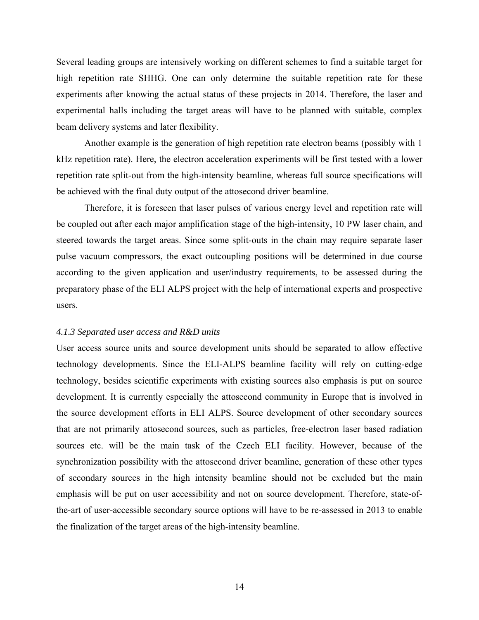Several leading groups are intensively working on different schemes to find a suitable target for high repetition rate SHHG. One can only determine the suitable repetition rate for these experiments after knowing the actual status of these projects in 2014. Therefore, the laser and experimental halls including the target areas will have to be planned with suitable, complex beam delivery systems and later flexibility.

Another example is the generation of high repetition rate electron beams (possibly with 1 kHz repetition rate). Here, the electron acceleration experiments will be first tested with a lower repetition rate split-out from the high-intensity beamline, whereas full source specifications will be achieved with the final duty output of the attosecond driver beamline.

Therefore, it is foreseen that laser pulses of various energy level and repetition rate will be coupled out after each major amplification stage of the high-intensity, 10 PW laser chain, and steered towards the target areas. Since some split-outs in the chain may require separate laser pulse vacuum compressors, the exact outcoupling positions will be determined in due course according to the given application and user/industry requirements, to be assessed during the preparatory phase of the ELI ALPS project with the help of international experts and prospective users.

#### *4.1.3 Separated user access and R&D units*

User access source units and source development units should be separated to allow effective technology developments. Since the ELI-ALPS beamline facility will rely on cutting-edge technology, besides scientific experiments with existing sources also emphasis is put on source development. It is currently especially the attosecond community in Europe that is involved in the source development efforts in ELI ALPS. Source development of other secondary sources that are not primarily attosecond sources, such as particles, free-electron laser based radiation sources etc. will be the main task of the Czech ELI facility. However, because of the synchronization possibility with the attosecond driver beamline, generation of these other types of secondary sources in the high intensity beamline should not be excluded but the main emphasis will be put on user accessibility and not on source development. Therefore, state-ofthe-art of user-accessible secondary source options will have to be re-assessed in 2013 to enable the finalization of the target areas of the high-intensity beamline.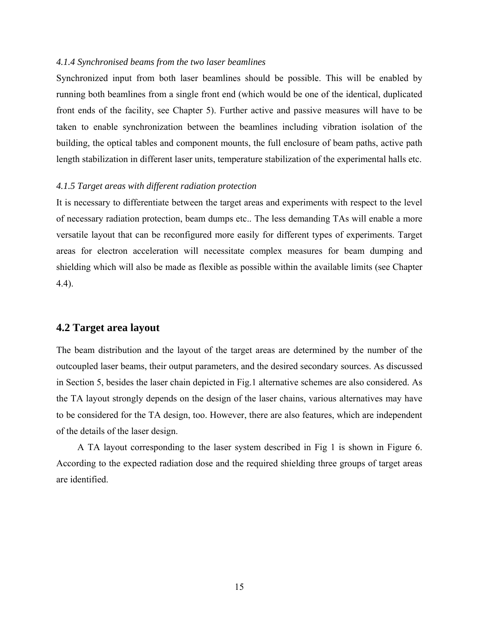#### *4.1.4 Synchronised beams from the two laser beamlines*

Synchronized input from both laser beamlines should be possible. This will be enabled by running both beamlines from a single front end (which would be one of the identical, duplicated front ends of the facility, see Chapter 5). Further active and passive measures will have to be taken to enable synchronization between the beamlines including vibration isolation of the building, the optical tables and component mounts, the full enclosure of beam paths, active path length stabilization in different laser units, temperature stabilization of the experimental halls etc.

#### *4.1.5 Target areas with different radiation protection*

It is necessary to differentiate between the target areas and experiments with respect to the level of necessary radiation protection, beam dumps etc.. The less demanding TAs will enable a more versatile layout that can be reconfigured more easily for different types of experiments. Target areas for electron acceleration will necessitate complex measures for beam dumping and shielding which will also be made as flexible as possible within the available limits (see Chapter 4.4).

## **4.2 Target area layout**

The beam distribution and the layout of the target areas are determined by the number of the outcoupled laser beams, their output parameters, and the desired secondary sources. As discussed in Section 5, besides the laser chain depicted in Fig.1 alternative schemes are also considered. As the TA layout strongly depends on the design of the laser chains, various alternatives may have to be considered for the TA design, too. However, there are also features, which are independent of the details of the laser design.

A TA layout corresponding to the laser system described in Fig 1 is shown in Figure 6. According to the expected radiation dose and the required shielding three groups of target areas are identified.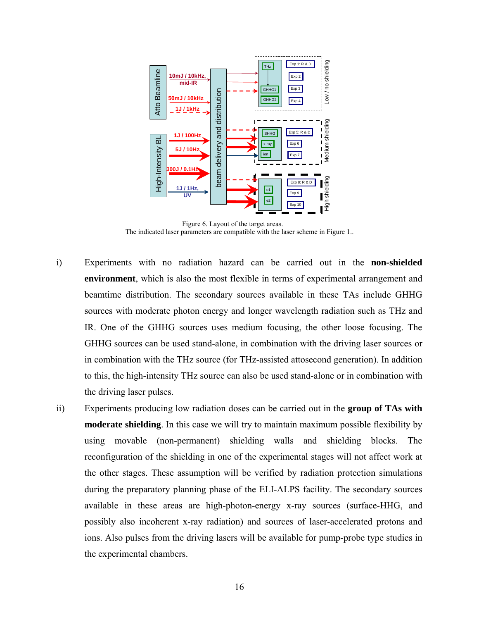

Figure 6. Layout of the target areas. The indicated laser parameters are compatible with the laser scheme in Figure 1..

- i) Experiments with no radiation hazard can be carried out in the **non-shielded environment**, which is also the most flexible in terms of experimental arrangement and beamtime distribution. The secondary sources available in these TAs include GHHG sources with moderate photon energy and longer wavelength radiation such as THz and IR. One of the GHHG sources uses medium focusing, the other loose focusing. The GHHG sources can be used stand-alone, in combination with the driving laser sources or in combination with the THz source (for THz-assisted attosecond generation). In addition to this, the high-intensity THz source can also be used stand-alone or in combination with the driving laser pulses.
- ii) Experiments producing low radiation doses can be carried out in the **group of TAs with moderate shielding**. In this case we will try to maintain maximum possible flexibility by using movable (non-permanent) shielding walls and shielding blocks. The reconfiguration of the shielding in one of the experimental stages will not affect work at the other stages. These assumption will be verified by radiation protection simulations during the preparatory planning phase of the ELI-ALPS facility. The secondary sources available in these areas are high-photon-energy x-ray sources (surface-HHG, and possibly also incoherent x-ray radiation) and sources of laser-accelerated protons and ions. Also pulses from the driving lasers will be available for pump-probe type studies in the experimental chambers.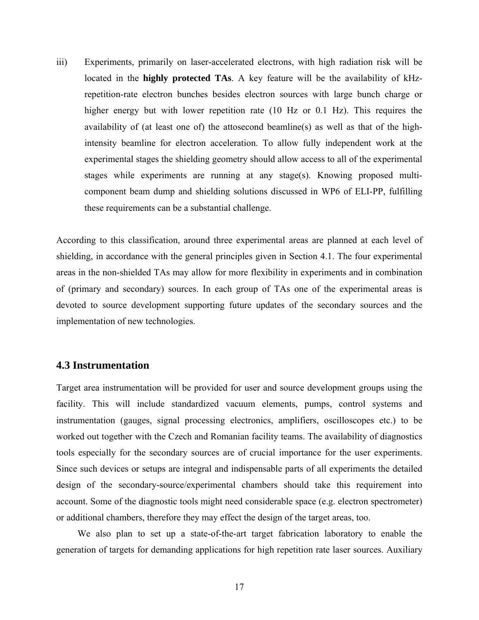iii) Experiments, primarily on laser-accelerated electrons, with high radiation risk will be located in the **highly protected TAs**. A key feature will be the availability of kHzrepetition-rate electron bunches besides electron sources with large bunch charge or higher energy but with lower repetition rate (10 Hz or 0.1 Hz). This requires the availability of (at least one of) the attosecond beamline(s) as well as that of the highintensity beamline for electron acceleration. To allow fully independent work at the experimental stages the shielding geometry should allow access to all of the experimental stages while experiments are running at any stage(s). Knowing proposed multicomponent beam dump and shielding solutions discussed in WP6 of ELI-PP, fulfilling these requirements can be a substantial challenge.

According to this classification, around three experimental areas are planned at each level of shielding, in accordance with the general principles given in Section 4.1. The four experimental areas in the non-shielded TAs may allow for more flexibility in experiments and in combination of (primary and secondary) sources. In each group of TAs one of the experimental areas is devoted to source development supporting future updates of the secondary sources and the implementation of new technologies.

#### **4.3 Instrumentation**

Target area instrumentation will be provided for user and source development groups using the facility. This will include standardized vacuum elements, pumps, control systems and instrumentation (gauges, signal processing electronics, amplifiers, oscilloscopes etc.) to be worked out together with the Czech and Romanian facility teams. The availability of diagnostics tools especially for the secondary sources are of crucial importance for the user experiments. Since such devices or setups are integral and indispensable parts of all experiments the detailed design of the secondary-source/experimental chambers should take this requirement into account. Some of the diagnostic tools might need considerable space (e.g. electron spectrometer) or additional chambers, therefore they may effect the design of the target areas, too.

We also plan to set up a state-of-the-art target fabrication laboratory to enable the generation of targets for demanding applications for high repetition rate laser sources. Auxiliary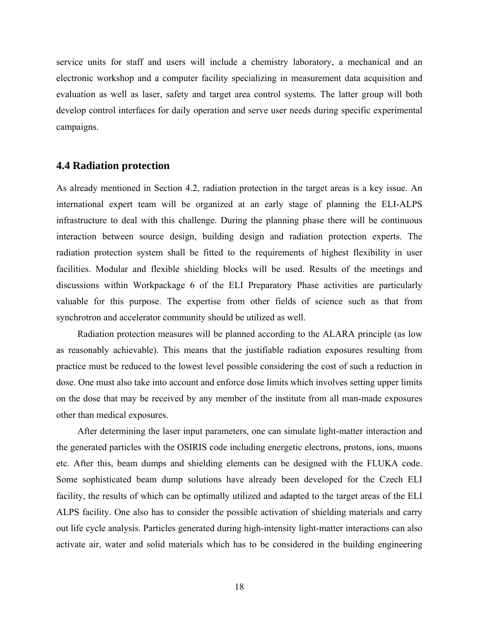service units for staff and users will include a chemistry laboratory, a mechanical and an electronic workshop and a computer facility specializing in measurement data acquisition and evaluation as well as laser, safety and target area control systems. The latter group will both develop control interfaces for daily operation and serve user needs during specific experimental campaigns.

#### **4.4 Radiation protection**

As already mentioned in Section 4.2, radiation protection in the target areas is a key issue. An international expert team will be organized at an early stage of planning the ELI-ALPS infrastructure to deal with this challenge. During the planning phase there will be continuous interaction between source design, building design and radiation protection experts. The radiation protection system shall be fitted to the requirements of highest flexibility in user facilities. Modular and flexible shielding blocks will be used. Results of the meetings and discussions within Workpackage 6 of the ELI Preparatory Phase activities are particularly valuable for this purpose. The expertise from other fields of science such as that from synchrotron and accelerator community should be utilized as well.

Radiation protection measures will be planned according to the ALARA principle (as low as reasonably achievable). This means that the justifiable radiation exposures resulting from practice must be reduced to the lowest level possible considering the cost of such a reduction in dose. One must also take into account and enforce dose limits which involves setting upper limits on the dose that may be received by any member of the institute from all man-made exposures other than medical exposures.

After determining the laser input parameters, one can simulate light-matter interaction and the generated particles with the OSIRIS code including energetic electrons, protons, ions, muons etc. After this, beam dumps and shielding elements can be designed with the FLUKA code. Some sophisticated beam dump solutions have already been developed for the Czech ELI facility, the results of which can be optimally utilized and adapted to the target areas of the ELI ALPS facility. One also has to consider the possible activation of shielding materials and carry out life cycle analysis. Particles generated during high-intensity light-matter interactions can also activate air, water and solid materials which has to be considered in the building engineering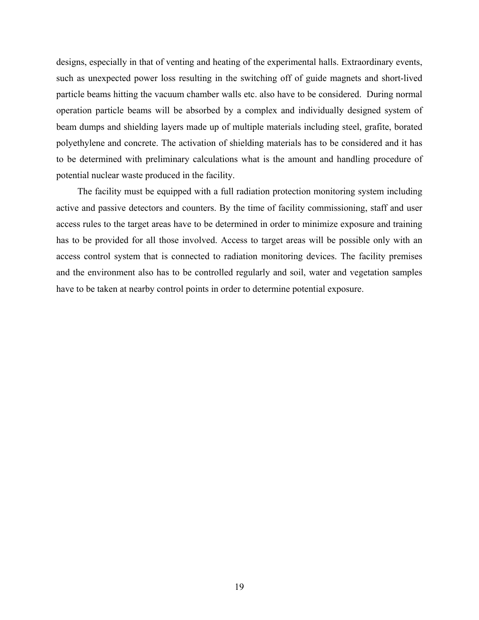designs, especially in that of venting and heating of the experimental halls. Extraordinary events, such as unexpected power loss resulting in the switching off of guide magnets and short-lived particle beams hitting the vacuum chamber walls etc. also have to be considered. During normal operation particle beams will be absorbed by a complex and individually designed system of beam dumps and shielding layers made up of multiple materials including steel, grafite, borated polyethylene and concrete. The activation of shielding materials has to be considered and it has to be determined with preliminary calculations what is the amount and handling procedure of potential nuclear waste produced in the facility.

The facility must be equipped with a full radiation protection monitoring system including active and passive detectors and counters. By the time of facility commissioning, staff and user access rules to the target areas have to be determined in order to minimize exposure and training has to be provided for all those involved. Access to target areas will be possible only with an access control system that is connected to radiation monitoring devices. The facility premises and the environment also has to be controlled regularly and soil, water and vegetation samples have to be taken at nearby control points in order to determine potential exposure.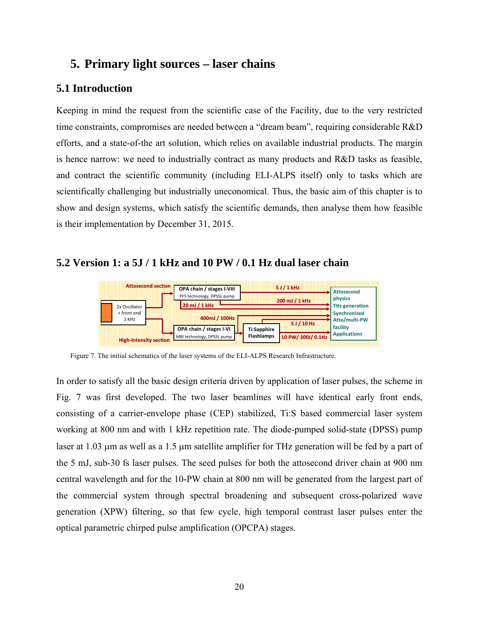## **5. Primary light sources – laser chains**

## **5.1 Introduction**

Keeping in mind the request from the scientific case of the Facility, due to the very restricted time constraints, compromises are needed between a "dream beam", requiring considerable R&D efforts, and a state-of-the art solution, which relies on available industrial products. The margin is hence narrow: we need to industrially contract as many products and R&D tasks as feasible, and contract the scientific community (including ELI-ALPS itself) only to tasks which are scientifically challenging but industrially uneconomical. Thus, the basic aim of this chapter is to show and design systems, which satisfy the scientific demands, then analyse them how feasible is their implementation by December 31, 2015.

## **5.2 Version 1: a 5J / 1 kHz and 10 PW / 0.1 Hz dual laser chain**



Figure 7. The initial schematics of the laser systems of the ELI-ALPS Research Infrastructure.

In order to satisfy all the basic design criteria driven by application of laser pulses, the scheme in Fig. 7 was first developed. The two laser beamlines will have identical early front ends, consisting of a carrier-envelope phase (CEP) stabilized, Ti:S based commercial laser system working at 800 nm and with 1 kHz repetition rate. The diode-pumped solid-state (DPSS) pump laser at 1.03 µm as well as a 1.5 µm satellite amplifier for THz generation will be fed by a part of the 5 mJ, sub-30 fs laser pulses. The seed pulses for both the attosecond driver chain at 900 nm central wavelength and for the 10-PW chain at 800 nm will be generated from the largest part of the commercial system through spectral broadening and subsequent cross-polarized wave generation (XPW) filtering, so that few cycle, high temporal contrast laser pulses enter the optical parametric chirped pulse amplification (OPCPA) stages.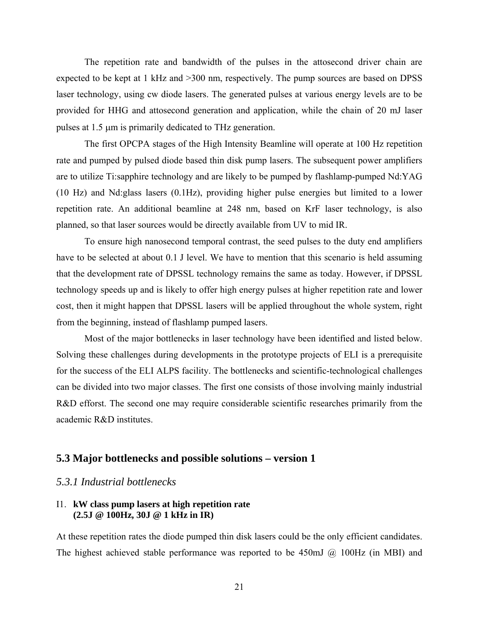The repetition rate and bandwidth of the pulses in the attosecond driver chain are expected to be kept at 1 kHz and >300 nm, respectively. The pump sources are based on DPSS laser technology, using cw diode lasers. The generated pulses at various energy levels are to be provided for HHG and attosecond generation and application, while the chain of 20 mJ laser pulses at 1.5 µm is primarily dedicated to THz generation.

The first OPCPA stages of the High Intensity Beamline will operate at 100 Hz repetition rate and pumped by pulsed diode based thin disk pump lasers. The subsequent power amplifiers are to utilize Ti:sapphire technology and are likely to be pumped by flashlamp-pumped Nd:YAG (10 Hz) and Nd:glass lasers (0.1Hz), providing higher pulse energies but limited to a lower repetition rate. An additional beamline at 248 nm, based on KrF laser technology, is also planned, so that laser sources would be directly available from UV to mid IR.

To ensure high nanosecond temporal contrast, the seed pulses to the duty end amplifiers have to be selected at about 0.1 J level. We have to mention that this scenario is held assuming that the development rate of DPSSL technology remains the same as today. However, if DPSSL technology speeds up and is likely to offer high energy pulses at higher repetition rate and lower cost, then it might happen that DPSSL lasers will be applied throughout the whole system, right from the beginning, instead of flashlamp pumped lasers.

Most of the major bottlenecks in laser technology have been identified and listed below. Solving these challenges during developments in the prototype projects of ELI is a prerequisite for the success of the ELI ALPS facility. The bottlenecks and scientific-technological challenges can be divided into two major classes. The first one consists of those involving mainly industrial R&D efforst. The second one may require considerable scientific researches primarily from the academic R&D institutes.

## **5.3 Major bottlenecks and possible solutions – version 1**

#### *5.3.1 Industrial bottlenecks*

#### I1. **kW class pump lasers at high repetition rate (2.5J @ 100Hz, 30J @ 1 kHz in IR)**

At these repetition rates the diode pumped thin disk lasers could be the only efficient candidates. The highest achieved stable performance was reported to be 450mJ @ 100Hz (in MBI) and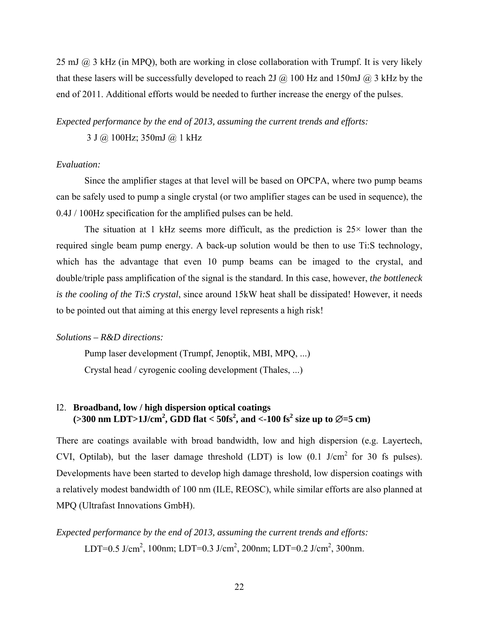25 mJ @ 3 kHz (in MPQ), both are working in close collaboration with Trumpf. It is very likely that these lasers will be successfully developed to reach 2J  $\omega$  100 Hz and 150mJ  $\omega$  3 kHz by the end of 2011. Additional efforts would be needed to further increase the energy of the pulses.

*Expected performance by the end of 2013, assuming the current trends and efforts:* 

3 J @ 100Hz; 350mJ @ 1 kHz

#### *Evaluation:*

Since the amplifier stages at that level will be based on OPCPA, where two pump beams can be safely used to pump a single crystal (or two amplifier stages can be used in sequence), the 0.4J / 100Hz specification for the amplified pulses can be held.

The situation at 1 kHz seems more difficult, as the prediction is  $25\times$  lower than the required single beam pump energy. A back-up solution would be then to use Ti:S technology, which has the advantage that even 10 pump beams can be imaged to the crystal, and double/triple pass amplification of the signal is the standard. In this case, however, *the bottleneck is the cooling of the Ti:S crystal*, since around 15kW heat shall be dissipated! However, it needs to be pointed out that aiming at this energy level represents a high risk!

#### *Solutions – R&D directions:*

Pump laser development (Trumpf, Jenoptik, MBI, MPQ, ...) Crystal head / cyrogenic cooling development (Thales, ...)

#### I2. **Broadband, low / high dispersion optical coatings**   $(>300 \text{ nm} \text{ LDT} > 1 \text{J/cm}^2, \text{GDD} \text{ flat} < 50 \text{fs}^2, \text{ and } < 100 \text{ fs}^2 \text{ size up to } \emptyset = 5 \text{ cm})$

There are coatings available with broad bandwidth, low and high dispersion (e.g. Layertech, CVI, Optilab), but the laser damage threshold (LDT) is low  $(0.1 \text{ J/cm}^2 \text{ for } 30 \text{ fs pulses})$ . Developments have been started to develop high damage threshold, low dispersion coatings with a relatively modest bandwidth of 100 nm (ILE, REOSC), while similar efforts are also planned at MPQ (Ultrafast Innovations GmbH).

*Expected performance by the end of 2013, assuming the current trends and efforts:*  LDT=0.5 J/cm<sup>2</sup>, 100nm; LDT=0.3 J/cm<sup>2</sup>, 200nm; LDT=0.2 J/cm<sup>2</sup>, 300nm.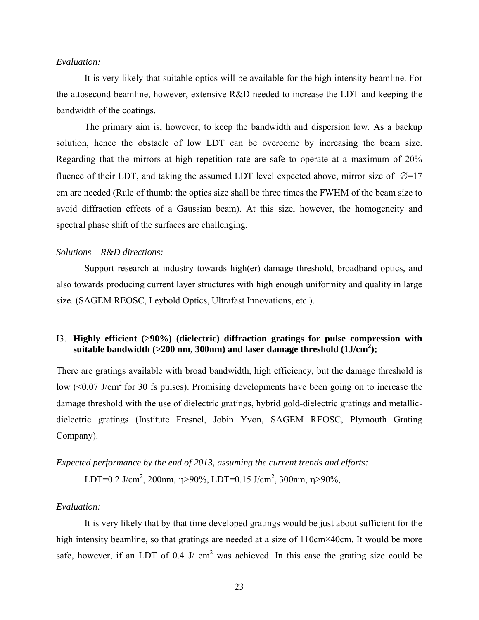#### *Evaluation:*

It is very likely that suitable optics will be available for the high intensity beamline. For the attosecond beamline, however, extensive R&D needed to increase the LDT and keeping the bandwidth of the coatings.

The primary aim is, however, to keep the bandwidth and dispersion low. As a backup solution, hence the obstacle of low LDT can be overcome by increasing the beam size. Regarding that the mirrors at high repetition rate are safe to operate at a maximum of 20% fluence of their LDT, and taking the assumed LDT level expected above, mirror size of  $\varnothing$ =17 cm are needed (Rule of thumb: the optics size shall be three times the FWHM of the beam size to avoid diffraction effects of a Gaussian beam). At this size, however, the homogeneity and spectral phase shift of the surfaces are challenging.

#### *Solutions – R&D directions:*

Support research at industry towards high(er) damage threshold, broadband optics, and also towards producing current layer structures with high enough uniformity and quality in large size. (SAGEM REOSC, Leybold Optics, Ultrafast Innovations, etc.).

#### I3. **Highly efficient (>90%) (dielectric) diffraction gratings for pulse compression with suitable bandwidth (>200 nm, 300nm) and laser damage threshold (1J/cm<sup>2</sup> );**

There are gratings available with broad bandwidth, high efficiency, but the damage threshold is low  $( $0.07$  J/cm<sup>2</sup> for 30 fs pulses)$ . Promising developments have been going on to increase the damage threshold with the use of dielectric gratings, hybrid gold-dielectric gratings and metallicdielectric gratings (Institute Fresnel, Jobin Yvon, SAGEM REOSC, Plymouth Grating Company).

## *Expected performance by the end of 2013, assuming the current trends and efforts:*

LDT=0.2 J/cm<sup>2</sup>, 200nm,  $\eta$ >90%, LDT=0.15 J/cm<sup>2</sup>, 300nm,  $\eta$ >90%,

#### *Evaluation:*

It is very likely that by that time developed gratings would be just about sufficient for the high intensity beamline, so that gratings are needed at a size of 110cm×40cm. It would be more safe, however, if an LDT of 0.4 J/  $cm<sup>2</sup>$  was achieved. In this case the grating size could be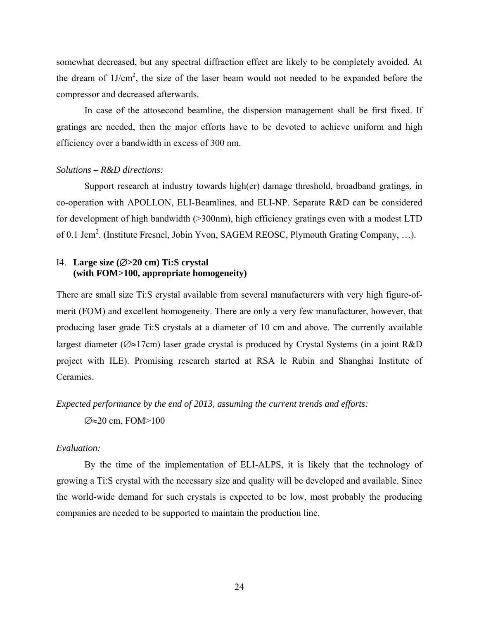somewhat decreased, but any spectral diffraction effect are likely to be completely avoided. At the dream of  $1J/cm^2$ , the size of the laser beam would not needed to be expanded before the compressor and decreased afterwards.

In case of the attosecond beamline, the dispersion management shall be first fixed. If gratings are needed, then the major efforts have to be devoted to achieve uniform and high efficiency over a bandwidth in excess of 300 nm.

#### *Solutions – R&D directions:*

Support research at industry towards high(er) damage threshold, broadband gratings, in co-operation with APOLLON, ELI-Beamlines, and ELI-NP. Separate R&D can be considered for development of high bandwidth (>300nm), high efficiency gratings even with a modest LTD of 0.1 Jcm<sup>2</sup>. (Institute Fresnel, Jobin Yvon, SAGEM REOSC, Plymouth Grating Company, ...).

#### I4. **Large size (**∅**>20 cm) Ti:S crystal (with FOM>100, appropriate homogeneity)**

There are small size Ti:S crystal available from several manufacturers with very high figure-ofmerit (FOM) and excellent homogeneity. There are only a very few manufacturer, however, that producing laser grade Ti:S crystals at a diameter of 10 cm and above. The currently available largest diameter (∅≈17cm) laser grade crystal is produced by Crystal Systems (in a joint R&D project with ILE). Promising research started at RSA le Rubin and Shanghai Institute of Ceramics.

## *Expected performance by the end of 2013, assuming the current trends and efforts:*  ∅≈20 cm, FOM>100

#### *Evaluation:*

By the time of the implementation of ELI-ALPS, it is likely that the technology of growing a Ti:S crystal with the necessary size and quality will be developed and available. Since the world-wide demand for such crystals is expected to be low, most probably the producing companies are needed to be supported to maintain the production line.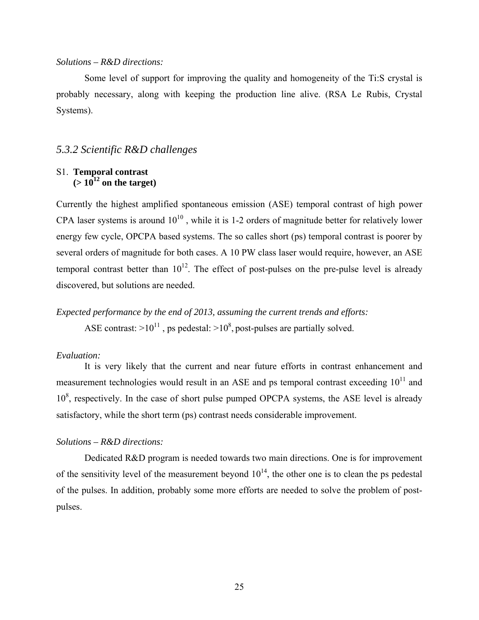#### *Solutions – R&D directions:*

Some level of support for improving the quality and homogeneity of the Ti:S crystal is probably necessary, along with keeping the production line alive. (RSA Le Rubis, Crystal Systems).

#### *5.3.2 Scientific R&D challenges*

#### S1. **Temporal contrast**   $(> 10^{12} \text{ on the target})$

Currently the highest amplified spontaneous emission (ASE) temporal contrast of high power CPA laser systems is around  $10^{10}$ , while it is 1-2 orders of magnitude better for relatively lower energy few cycle, OPCPA based systems. The so calles short (ps) temporal contrast is poorer by several orders of magnitude for both cases. A 10 PW class laser would require, however, an ASE temporal contrast better than  $10^{12}$ . The effect of post-pulses on the pre-pulse level is already discovered, but solutions are needed.

*Expected performance by the end of 2013, assuming the current trends and efforts:*  ASE contrast:  $>10^{11}$ , ps pedestal:  $>10^8$ , post-pulses are partially solved.

#### *Evaluation:*

It is very likely that the current and near future efforts in contrast enhancement and measurement technologies would result in an ASE and ps temporal contrast exceeding  $10^{11}$  and  $10<sup>8</sup>$ , respectively. In the case of short pulse pumped OPCPA systems, the ASE level is already satisfactory, while the short term (ps) contrast needs considerable improvement.

#### *Solutions – R&D directions:*

Dedicated R&D program is needed towards two main directions. One is for improvement of the sensitivity level of the measurement beyond  $10^{14}$ , the other one is to clean the ps pedestal of the pulses. In addition, probably some more efforts are needed to solve the problem of postpulses.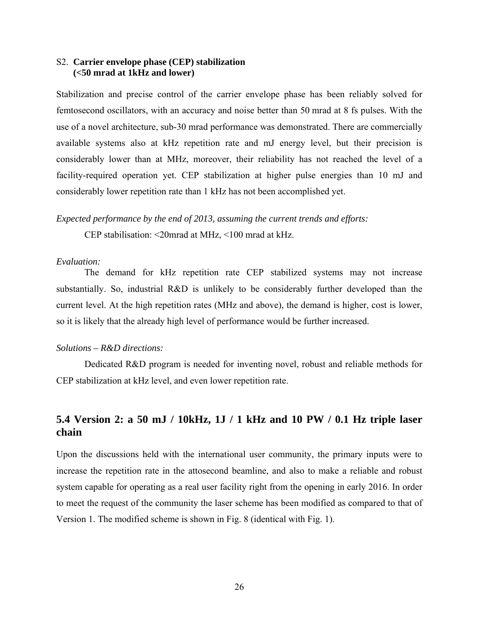#### S2. **Carrier envelope phase (CEP) stabilization (<50 mrad at 1kHz and lower)**

Stabilization and precise control of the carrier envelope phase has been reliably solved for femtosecond oscillators, with an accuracy and noise better than 50 mrad at 8 fs pulses. With the use of a novel architecture, sub-30 mrad performance was demonstrated. There are commercially available systems also at kHz repetition rate and mJ energy level, but their precision is considerably lower than at MHz, moreover, their reliability has not reached the level of a facility-required operation yet. CEP stabilization at higher pulse energies than 10 mJ and considerably lower repetition rate than 1 kHz has not been accomplished yet.

## *Expected performance by the end of 2013, assuming the current trends and efforts:*

CEP stabilisation: <20mrad at MHz, <100 mrad at kHz.

#### *Evaluation:*

The demand for kHz repetition rate CEP stabilized systems may not increase substantially. So, industrial R&D is unlikely to be considerably further developed than the current level. At the high repetition rates (MHz and above), the demand is higher, cost is lower, so it is likely that the already high level of performance would be further increased.

#### *Solutions – R&D directions:*

Dedicated R&D program is needed for inventing novel, robust and reliable methods for CEP stabilization at kHz level, and even lower repetition rate.

## **5.4 Version 2: a 50 mJ / 10kHz, 1J / 1 kHz and 10 PW / 0.1 Hz triple laser chain**

Upon the discussions held with the international user community, the primary inputs were to increase the repetition rate in the attosecond beamline, and also to make a reliable and robust system capable for operating as a real user facility right from the opening in early 2016. In order to meet the request of the community the laser scheme has been modified as compared to that of Version 1. The modified scheme is shown in Fig. 8 (identical with Fig. 1).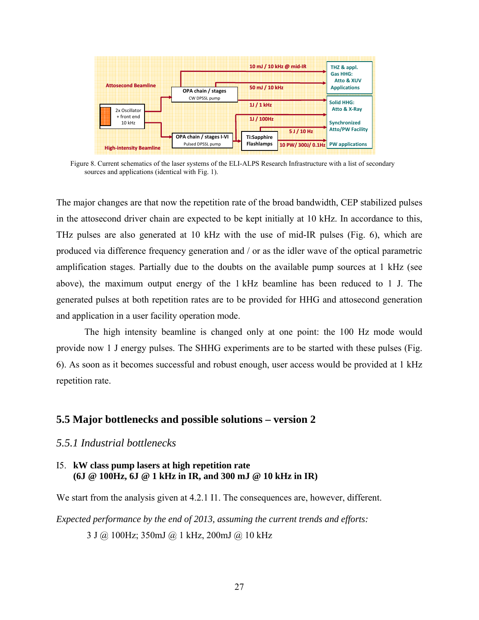

Figure 8. Current schematics of the laser systems of the ELI-ALPS Research Infrastructure with a list of secondary sources and applications (identical with Fig. 1).

The major changes are that now the repetition rate of the broad bandwidth, CEP stabilized pulses in the attosecond driver chain are expected to be kept initially at 10 kHz. In accordance to this, THz pulses are also generated at 10 kHz with the use of mid-IR pulses (Fig. 6), which are produced via difference frequency generation and / or as the idler wave of the optical parametric amplification stages. Partially due to the doubts on the available pump sources at 1 kHz (see above), the maximum output energy of the 1 kHz beamline has been reduced to 1 J. The generated pulses at both repetition rates are to be provided for HHG and attosecond generation and application in a user facility operation mode.

The high intensity beamline is changed only at one point: the 100 Hz mode would provide now 1 J energy pulses. The SHHG experiments are to be started with these pulses (Fig. 6). As soon as it becomes successful and robust enough, user access would be provided at 1 kHz repetition rate.

## **5.5 Major bottlenecks and possible solutions – version 2**

#### *5.5.1 Industrial bottlenecks*

#### I5. **kW class pump lasers at high repetition rate (6J @ 100Hz, 6J @ 1 kHz in IR, and 300 mJ @ 10 kHz in IR)**

We start from the analysis given at 4.2.1 I1. The consequences are, however, different.

*Expected performance by the end of 2013, assuming the current trends and efforts:* 

3 J @ 100Hz; 350mJ @ 1 kHz, 200mJ @ 10 kHz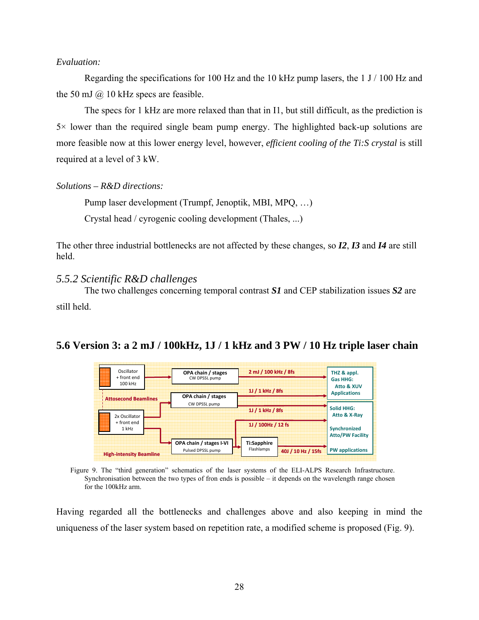#### *Evaluation:*

Regarding the specifications for 100 Hz and the 10 kHz pump lasers, the 1 J / 100 Hz and the 50 mJ  $\omega$  10 kHz specs are feasible.

The specs for 1 kHz are more relaxed than that in I1, but still difficult, as the prediction is  $5\times$  lower than the required single beam pump energy. The highlighted back-up solutions are more feasible now at this lower energy level, however, *efficient cooling of the Ti:S crystal* is still required at a level of 3 kW.

*Solutions – R&D directions:* 

Pump laser development (Trumpf, Jenoptik, MBI, MPQ, …) Crystal head / cyrogenic cooling development (Thales, ...)

The other three industrial bottlenecks are not affected by these changes, so *I2*, *I3* and *I4* are still held.

#### *5.5.2 Scientific R&D challenges*

The two challenges concerning temporal contrast *S1* and CEP stabilization issues *S2* are still held.

## **5.6 Version 3: a 2 mJ / 100kHz, 1J / 1 kHz and 3 PW / 10 Hz triple laser chain**



Figure 9. The "third generation" schematics of the laser systems of the ELI-ALPS Research Infrastructure. Synchronisation between the two types of fron ends is possible – it depends on the wavelength range chosen for the 100kHz arm.

Having regarded all the bottlenecks and challenges above and also keeping in mind the uniqueness of the laser system based on repetition rate, a modified scheme is proposed (Fig. 9).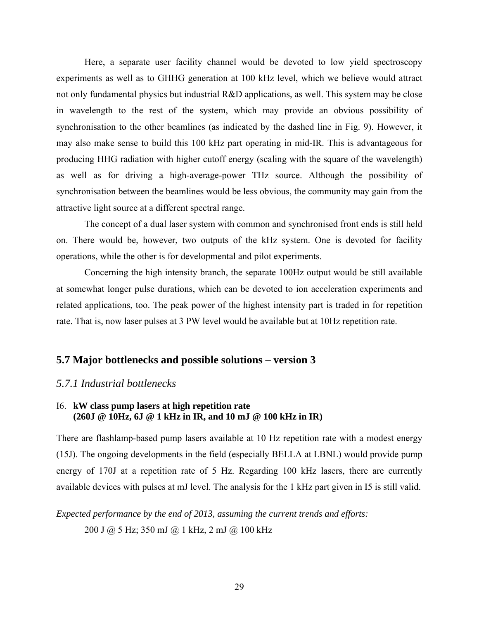Here, a separate user facility channel would be devoted to low yield spectroscopy experiments as well as to GHHG generation at 100 kHz level, which we believe would attract not only fundamental physics but industrial R&D applications, as well. This system may be close in wavelength to the rest of the system, which may provide an obvious possibility of synchronisation to the other beamlines (as indicated by the dashed line in Fig. 9). However, it may also make sense to build this 100 kHz part operating in mid-IR. This is advantageous for producing HHG radiation with higher cutoff energy (scaling with the square of the wavelength) as well as for driving a high-average-power THz source. Although the possibility of synchronisation between the beamlines would be less obvious, the community may gain from the attractive light source at a different spectral range.

The concept of a dual laser system with common and synchronised front ends is still held on. There would be, however, two outputs of the kHz system. One is devoted for facility operations, while the other is for developmental and pilot experiments.

Concerning the high intensity branch, the separate 100Hz output would be still available at somewhat longer pulse durations, which can be devoted to ion acceleration experiments and related applications, too. The peak power of the highest intensity part is traded in for repetition rate. That is, now laser pulses at 3 PW level would be available but at 10Hz repetition rate.

## **5.7 Major bottlenecks and possible solutions – version 3**

#### *5.7.1 Industrial bottlenecks*

#### I6. **kW class pump lasers at high repetition rate (260J @ 10Hz, 6J @ 1 kHz in IR, and 10 mJ @ 100 kHz in IR)**

There are flashlamp-based pump lasers available at 10 Hz repetition rate with a modest energy (15J). The ongoing developments in the field (especially BELLA at LBNL) would provide pump energy of 170J at a repetition rate of 5 Hz. Regarding 100 kHz lasers, there are currently available devices with pulses at mJ level. The analysis for the 1 kHz part given in I5 is still valid.

## *Expected performance by the end of 2013, assuming the current trends and efforts:*  200 J @ 5 Hz; 350 mJ @ 1 kHz, 2 mJ @ 100 kHz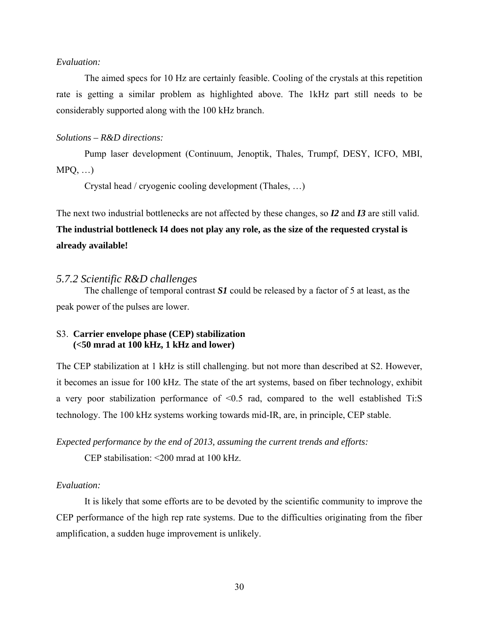#### *Evaluation:*

The aimed specs for 10 Hz are certainly feasible. Cooling of the crystals at this repetition rate is getting a similar problem as highlighted above. The 1kHz part still needs to be considerably supported along with the 100 kHz branch.

#### *Solutions – R&D directions:*

Pump laser development (Continuum, Jenoptik, Thales, Trumpf, DESY, ICFO, MBI,  $MPQ, \ldots$ 

Crystal head / cryogenic cooling development (Thales, …)

The next two industrial bottlenecks are not affected by these changes, so *I2* and *I3* are still valid. **The industrial bottleneck I4 does not play any role, as the size of the requested crystal is already available!** 

#### *5.7.2 Scientific R&D challenges*

The challenge of temporal contrast *S1* could be released by a factor of 5 at least, as the peak power of the pulses are lower.

#### S3. **Carrier envelope phase (CEP) stabilization (<50 mrad at 100 kHz, 1 kHz and lower)**

The CEP stabilization at 1 kHz is still challenging. but not more than described at S2. However, it becomes an issue for 100 kHz. The state of the art systems, based on fiber technology, exhibit a very poor stabilization performance of <0.5 rad, compared to the well established Ti:S technology. The 100 kHz systems working towards mid-IR, are, in principle, CEP stable.

*Expected performance by the end of 2013, assuming the current trends and efforts:* 

CEP stabilisation: <200 mrad at 100 kHz.

#### *Evaluation:*

It is likely that some efforts are to be devoted by the scientific community to improve the CEP performance of the high rep rate systems. Due to the difficulties originating from the fiber amplification, a sudden huge improvement is unlikely.